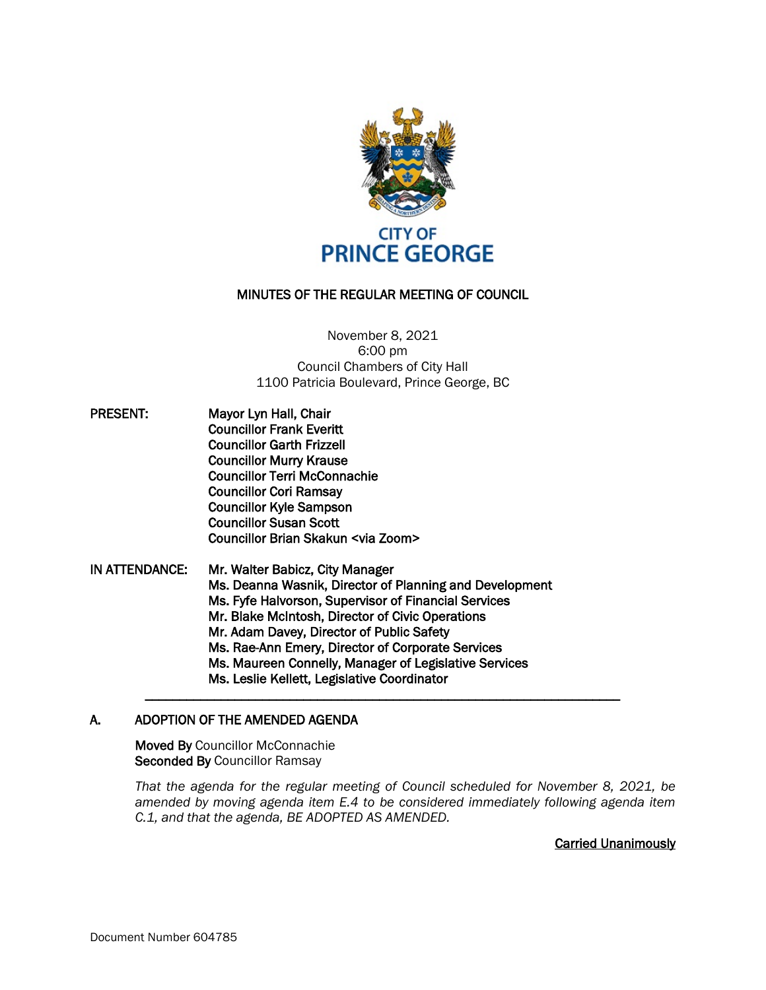

## MINUTES OF THE REGULAR MEETING OF COUNCIL

### November 8, 2021 6:00 pm Council Chambers of City Hall 1100 Patricia Boulevard, Prince George, BC

- PRESENT: Mayor Lyn Hall, Chair Councillor Frank Everitt Councillor Garth Frizzell Councillor Murry Krause Councillor Terri McConnachie Councillor Cori Ramsay Councillor Kyle Sampson Councillor Susan Scott Councillor Brian Skakun <via Zoom>
- IN ATTENDANCE: Mr. Walter Babicz, City Manager Ms. Deanna Wasnik, Director of Planning and Development Ms. Fyfe Halvorson, Supervisor of Financial Services Mr. Blake McIntosh, Director of Civic Operations Mr. Adam Davey, Director of Public Safety Ms. Rae-Ann Emery, Director of Corporate Services Ms. Maureen Connelly, Manager of Legislative Services Ms. Leslie Kellett, Legislative Coordinator

### A. ADOPTION OF THE AMENDED AGENDA

Moved By Councillor McConnachie Seconded By Councillor Ramsay

*That the agenda for the regular meeting of Council scheduled for November 8, 2021, be amended by moving agenda item E.4 to be considered immediately following agenda item C.1, and that the agenda, BE ADOPTED AS AMENDED.*

 $\mathcal{L} = \{ \mathcal{L} = \{ \mathcal{L} \} \cup \{ \mathcal{L} = \{ \mathcal{L} \} \cup \{ \mathcal{L} = \{ \mathcal{L} \} \cup \{ \mathcal{L} = \{ \mathcal{L} \} \cup \{ \mathcal{L} = \{ \mathcal{L} \} \cup \{ \mathcal{L} = \{ \mathcal{L} \} \cup \{ \mathcal{L} = \{ \mathcal{L} \} \cup \{ \mathcal{L} = \{ \mathcal{L} \} \cup \{ \mathcal{L} = \{ \mathcal{L} \} \cup \{ \mathcal{L} = \{ \mathcal{L} \} \cup \{ \$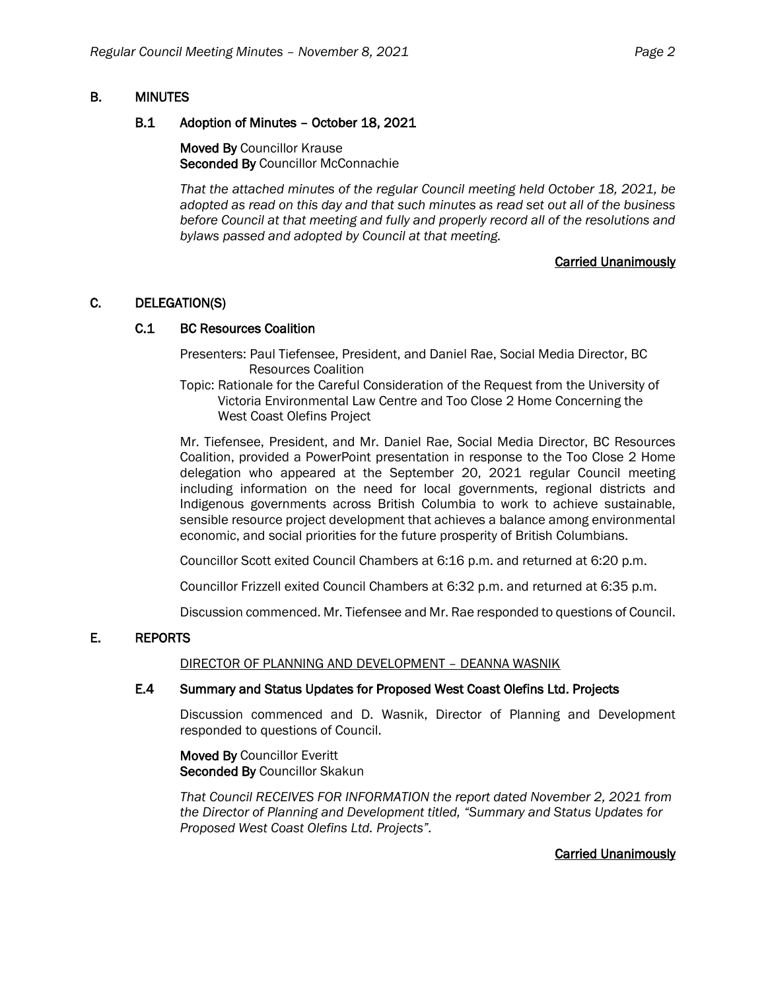# B. MINUTES

## B.1 Adoption of Minutes – October 18, 2021

Moved By Councillor Krause Seconded By Councillor McConnachie

*That the attached minutes of the regular Council meeting held October 18, 2021, be adopted as read on this day and that such minutes as read set out all of the business before Council at that meeting and fully and properly record all of the resolutions and bylaws passed and adopted by Council at that meeting.*

# Carried Unanimously

# C. DELEGATION(S)

# C.1 BC Resources Coalition

Presenters: Paul Tiefensee, President, and Daniel Rae, Social Media Director, BC Resources Coalition

Topic: Rationale for the Careful Consideration of the Request from the University of Victoria Environmental Law Centre and Too Close 2 Home Concerning the West Coast Olefins Project

Mr. Tiefensee, President, and Mr. Daniel Rae, Social Media Director, BC Resources Coalition, provided a PowerPoint presentation in response to the Too Close 2 Home delegation who appeared at the September 20, 2021 regular Council meeting including information on the need for local governments, regional districts and Indigenous governments across British Columbia to work to achieve sustainable, sensible resource project development that achieves a balance among environmental economic, and social priorities for the future prosperity of British Columbians.

Councillor Scott exited Council Chambers at 6:16 p.m. and returned at 6:20 p.m.

Councillor Frizzell exited Council Chambers at 6:32 p.m. and returned at 6:35 p.m.

Discussion commenced. Mr. Tiefensee and Mr. Rae responded to questions of Council.

# E. REPORTS

### DIRECTOR OF PLANNING AND DEVELOPMENT – DEANNA WASNIK

### E.4 Summary and Status Updates for Proposed West Coast Olefins Ltd. Projects

Discussion commenced and D. Wasnik, Director of Planning and Development responded to questions of Council.

Moved By Councillor Everitt Seconded By Councillor Skakun

*That Council RECEIVES FOR INFORMATION the report dated November 2, 2021 from the Director of Planning and Development titled, "Summary and Status Updates for Proposed West Coast Olefins Ltd. Projects".*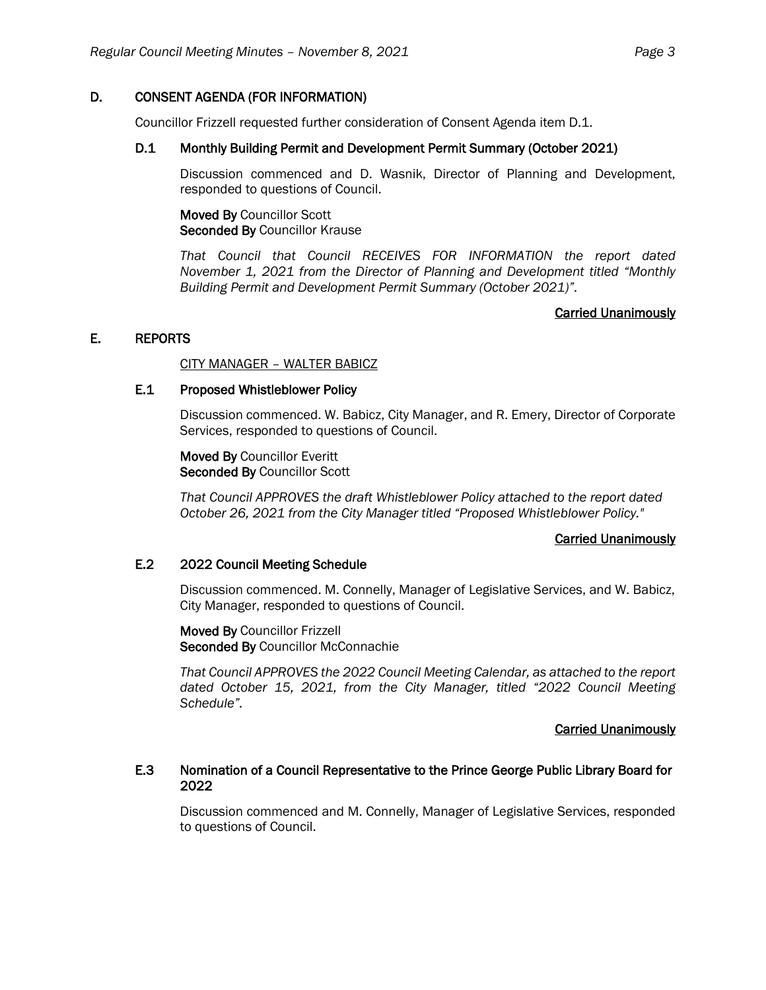## D. CONSENT AGENDA (FOR INFORMATION)

Councillor Frizzell requested further consideration of Consent Agenda item D.1.

## D.1 Monthly Building Permit and Development Permit Summary (October 2021)

Discussion commenced and D. Wasnik, Director of Planning and Development, responded to questions of Council.

Moved By Councillor Scott Seconded By Councillor Krause

*That Council that Council RECEIVES FOR INFORMATION the report dated November 1, 2021 from the Director of Planning and Development titled "Monthly Building Permit and Development Permit Summary (October 2021)".*

### Carried Unanimously

## E. REPORTS

CITY MANAGER – WALTER BABICZ

### E.1 Proposed Whistleblower Policy

Discussion commenced. W. Babicz, City Manager, and R. Emery, Director of Corporate Services, responded to questions of Council.

Moved By Councillor Everitt Seconded By Councillor Scott

*That Council APPROVES the draft Whistleblower Policy attached to the report dated October 26, 2021 from the City Manager titled "Proposed Whistleblower Policy."*

#### Carried Unanimously

## E.2 2022 Council Meeting Schedule

Discussion commenced. M. Connelly, Manager of Legislative Services, and W. Babicz, City Manager, responded to questions of Council.

Moved By Councillor Frizzell Seconded By Councillor McConnachie

*That Council APPROVES the 2022 Council Meeting Calendar, as attached to the report dated October 15, 2021, from the City Manager, titled "2022 Council Meeting Schedule".*

### Carried Unanimously

### E.3 Nomination of a Council Representative to the Prince George Public Library Board for 2022

Discussion commenced and M. Connelly, Manager of Legislative Services, responded to questions of Council.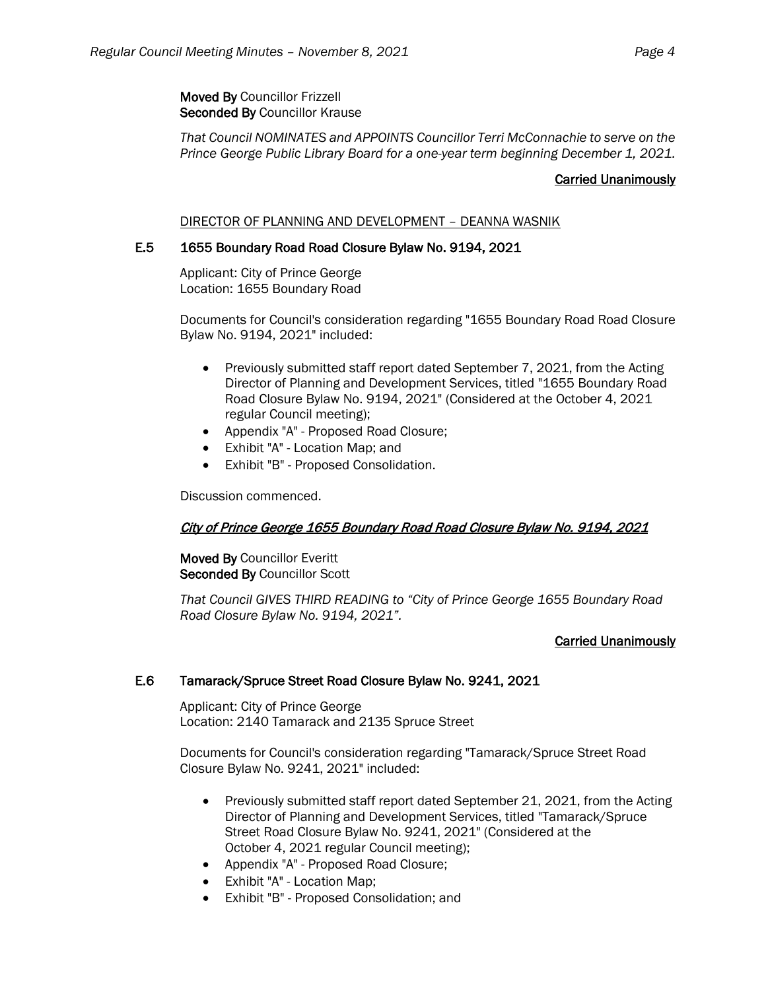Moved By Councillor Frizzell Seconded By Councillor Krause

*That Council NOMINATES and APPOINTS Councillor Terri McConnachie to serve on the Prince George Public Library Board for a one-year term beginning December 1, 2021.*

## Carried Unanimously

### DIRECTOR OF PLANNING AND DEVELOPMENT – DEANNA WASNIK

# E.5 1655 Boundary Road Road Closure Bylaw No. 9194, 2021

Applicant: City of Prince George Location: 1655 Boundary Road

Documents for Council's consideration regarding "1655 Boundary Road Road Closure Bylaw No. 9194, 2021" included:

- Previously submitted staff report dated September 7, 2021, from the Acting Director of Planning and Development Services, titled "1655 Boundary Road Road Closure Bylaw No. 9194, 2021" (Considered at the October 4, 2021 regular Council meeting);
- Appendix "A" Proposed Road Closure;
- Exhibit "A" Location Map; and
- Exhibit "B" Proposed Consolidation.

Discussion commenced.

### City of Prince George 1655 Boundary Road Road Closure Bylaw No. 9194, 2021

Moved By Councillor Everitt Seconded By Councillor Scott

*That Council GIVES THIRD READING to "City of Prince George 1655 Boundary Road Road Closure Bylaw No. 9194, 2021".*

### Carried Unanimously

### E.6 Tamarack/Spruce Street Road Closure Bylaw No. 9241, 2021

Applicant: City of Prince George Location: 2140 Tamarack and 2135 Spruce Street

Documents for Council's consideration regarding "Tamarack/Spruce Street Road Closure Bylaw No. 9241, 2021" included:

- Previously submitted staff report dated September 21, 2021, from the Acting Director of Planning and Development Services, titled "Tamarack/Spruce Street Road Closure Bylaw No. 9241, 2021" (Considered at the October 4, 2021 regular Council meeting);
- Appendix "A" Proposed Road Closure;
- Exhibit "A" Location Map;
- Exhibit "B" Proposed Consolidation; and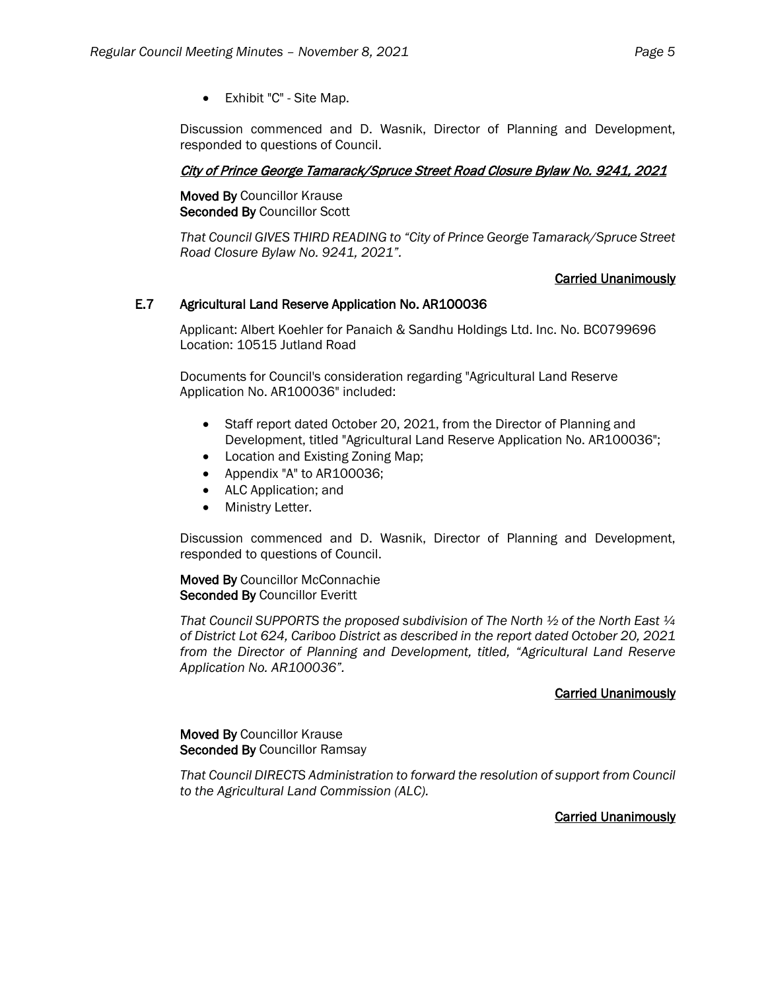• Exhibit "C" - Site Map.

Discussion commenced and D. Wasnik, Director of Planning and Development, responded to questions of Council.

## City of Prince George Tamarack/Spruce Street Road Closure Bylaw No. 9241, 2021

Moved By Councillor Krause Seconded By Councillor Scott

*That Council GIVES THIRD READING to "City of Prince George Tamarack/Spruce Street Road Closure Bylaw No. 9241, 2021".*

### Carried Unanimously

## E.7 Agricultural Land Reserve Application No. AR100036

Applicant: Albert Koehler for Panaich & Sandhu Holdings Ltd. Inc. No. BC0799696 Location: 10515 Jutland Road

Documents for Council's consideration regarding "Agricultural Land Reserve Application No. AR100036" included:

- Staff report dated October 20, 2021, from the Director of Planning and Development, titled "Agricultural Land Reserve Application No. AR100036";
- Location and Existing Zoning Map;
- Appendix "A" to AR100036;
- ALC Application; and
- Ministry Letter.

Discussion commenced and D. Wasnik, Director of Planning and Development, responded to questions of Council.

Moved By Councillor McConnachie Seconded By Councillor Everitt

*That Council SUPPORTS the proposed subdivision of The North ½ of the North East ¼ of District Lot 624, Cariboo District as described in the report dated October 20, 2021 from the Director of Planning and Development, titled, "Agricultural Land Reserve Application No. AR100036".*

### Carried Unanimously

Moved By Councillor Krause Seconded By Councillor Ramsay

*That Council DIRECTS Administration to forward the resolution of support from Council to the Agricultural Land Commission (ALC).*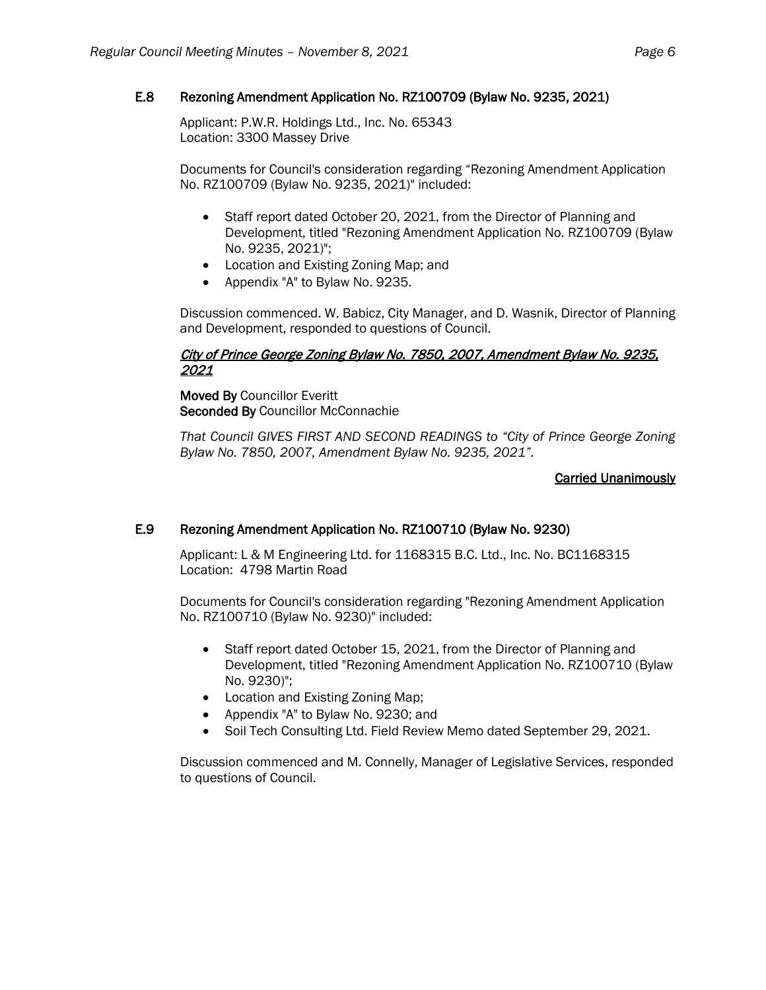# E.8 Rezoning Amendment Application No. RZ100709 (Bylaw No. 9235, 2021)

Applicant: P.W.R. Holdings Ltd., Inc. No. 65343 Location: 3300 Massey Drive

Documents for Council's consideration regarding "Rezoning Amendment Application No. RZ100709 (Bylaw No. 9235, 2021)" included:

- Staff report dated October 20, 2021, from the Director of Planning and Development, titled "Rezoning Amendment Application No. RZ100709 (Bylaw No. 9235, 2021)";
- Location and Existing Zoning Map; and
- Appendix "A" to Bylaw No. 9235.

Discussion commenced. W. Babicz, City Manager, and D. Wasnik, Director of Planning and Development, responded to questions of Council.

# City of Prince George Zoning Bylaw No. 7850, 2007, Amendment Bylaw No. 9235, 2021

Moved By Councillor Everitt Seconded By Councillor McConnachie

*That Council GIVES FIRST AND SECOND READINGS to "City of Prince George Zoning Bylaw No. 7850, 2007, Amendment Bylaw No. 9235, 2021".*

# Carried Unanimously

# E.9 Rezoning Amendment Application No. RZ100710 (Bylaw No. 9230)

Applicant: L & M Engineering Ltd. for 1168315 B.C. Ltd., Inc. No. BC1168315 Location: 4798 Martin Road

Documents for Council's consideration regarding "Rezoning Amendment Application No. RZ100710 (Bylaw No. 9230)" included:

- Staff report dated October 15, 2021, from the Director of Planning and Development, titled "Rezoning Amendment Application No. RZ100710 (Bylaw No. 9230)";
- Location and Existing Zoning Map;
- Appendix "A" to Bylaw No. 9230; and
- Soil Tech Consulting Ltd. Field Review Memo dated September 29, 2021.

Discussion commenced and M. Connelly, Manager of Legislative Services, responded to questions of Council.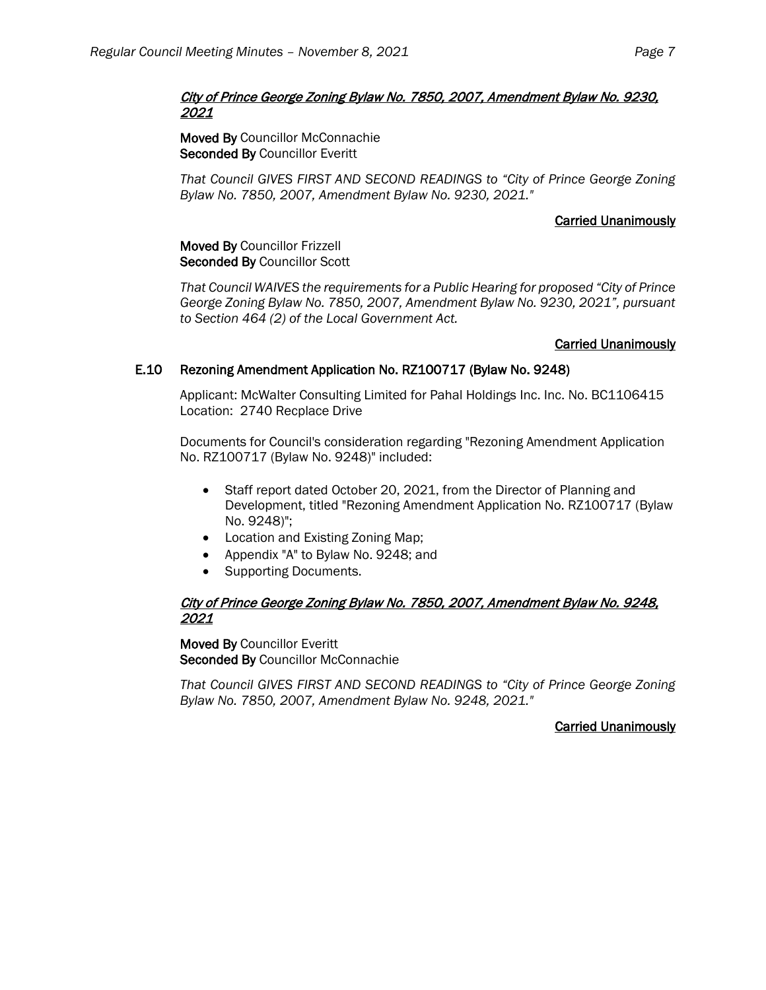## City of Prince George Zoning Bylaw No. 7850, 2007, Amendment Bylaw No. 9230, 2021

Moved By Councillor McConnachie Seconded By Councillor Everitt

*That Council GIVES FIRST AND SECOND READINGS to "City of Prince George Zoning Bylaw No. 7850, 2007, Amendment Bylaw No. 9230, 2021."*

# Carried Unanimously

Moved By Councillor Frizzell Seconded By Councillor Scott

*That Council WAIVES the requirements for a Public Hearing for proposed "City of Prince George Zoning Bylaw No. 7850, 2007, Amendment Bylaw No. 9230, 2021", pursuant to Section 464 (2) of the Local Government Act.*

## Carried Unanimously

# E.10 Rezoning Amendment Application No. RZ100717 (Bylaw No. 9248)

Applicant: McWalter Consulting Limited for Pahal Holdings Inc. Inc. No. BC1106415 Location: 2740 Recplace Drive

Documents for Council's consideration regarding "Rezoning Amendment Application No. RZ100717 (Bylaw No. 9248)" included:

- Staff report dated October 20, 2021, from the Director of Planning and Development, titled "Rezoning Amendment Application No. RZ100717 (Bylaw No. 9248)";
- Location and Existing Zoning Map;
- Appendix "A" to Bylaw No. 9248; and
- Supporting Documents.

## City of Prince George Zoning Bylaw No. 7850, 2007, Amendment Bylaw No. 9248, 2021

Moved By Councillor Everitt Seconded By Councillor McConnachie

*That Council GIVES FIRST AND SECOND READINGS to "City of Prince George Zoning Bylaw No. 7850, 2007, Amendment Bylaw No. 9248, 2021."*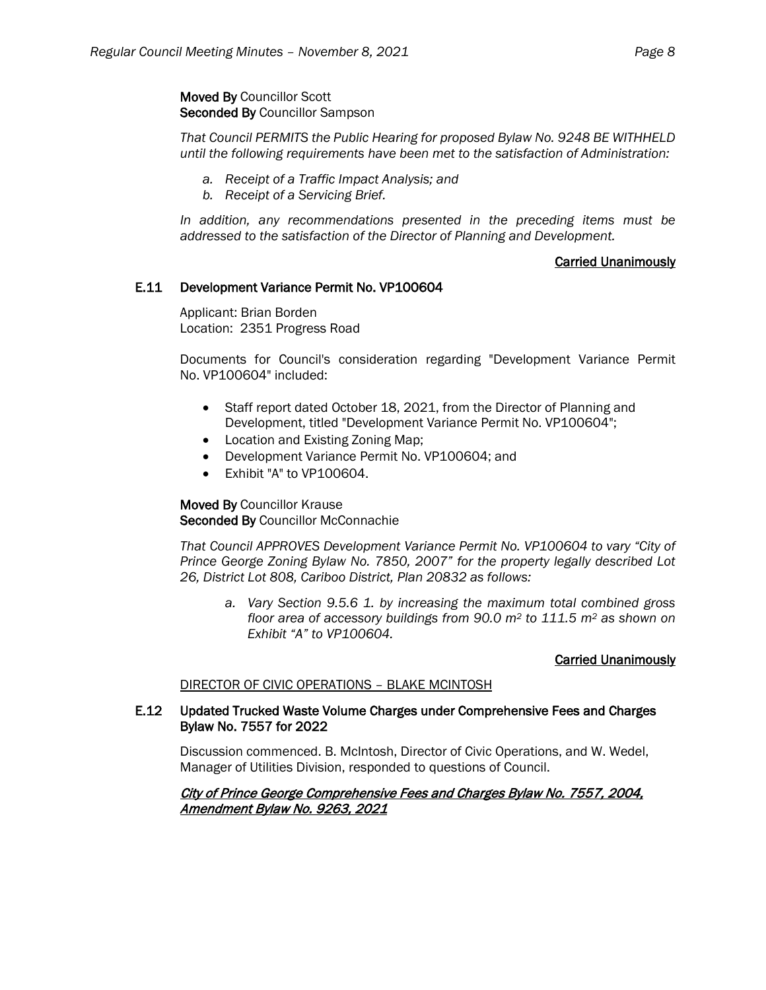### Moved By Councillor Scott Seconded By Councillor Sampson

*That Council PERMITS the Public Hearing for proposed Bylaw No. 9248 BE WITHHELD until the following requirements have been met to the satisfaction of Administration:*

- *a. Receipt of a Traffic Impact Analysis; and*
- *b. Receipt of a Servicing Brief.*

*In addition, any recommendations presented in the preceding items must be addressed to the satisfaction of the Director of Planning and Development.*

# Carried Unanimously

## E.11 Development Variance Permit No. VP100604

Applicant: Brian Borden Location: 2351 Progress Road

Documents for Council's consideration regarding "Development Variance Permit No. VP100604" included:

- Staff report dated October 18, 2021, from the Director of Planning and Development, titled "Development Variance Permit No. VP100604";
- Location and Existing Zoning Map;
- Development Variance Permit No. VP100604; and
- Exhibit "A" to VP100604.

## Moved By Councillor Krause Seconded By Councillor McConnachie

*That Council APPROVES Development Variance Permit No. VP100604 to vary "City of Prince George Zoning Bylaw No. 7850, 2007" for the property legally described Lot 26, District Lot 808, Cariboo District, Plan 20832 as follows:*

*a. Vary Section 9.5.6 1. by increasing the maximum total combined gross floor area of accessory buildings from 90.0 m2 to 111.5 m2 as shown on Exhibit "A" to VP100604.*

### Carried Unanimously

### DIRECTOR OF CIVIC OPERATIONS – BLAKE MCINTOSH

### E.12 Updated Trucked Waste Volume Charges under Comprehensive Fees and Charges Bylaw No. 7557 for 2022

Discussion commenced. B. McIntosh, Director of Civic Operations, and W. Wedel, Manager of Utilities Division, responded to questions of Council.

#### City of Prince George Comprehensive Fees and Charges Bylaw No. 7557, 2004, Amendment Bylaw No. 9263, 2021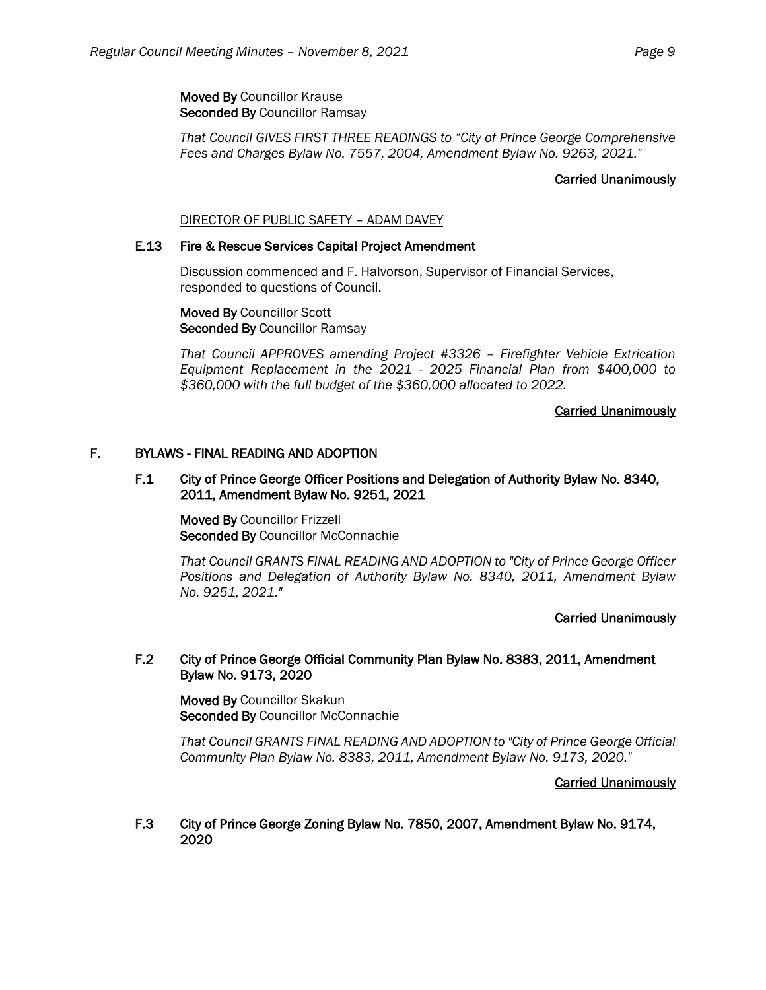Moved By Councillor Krause Seconded By Councillor Ramsay

*That Council GIVES FIRST THREE READINGS to "City of Prince George Comprehensive Fees and Charges Bylaw No. 7557, 2004, Amendment Bylaw No. 9263, 2021."*

### Carried Unanimously

### DIRECTOR OF PUBLIC SAFETY – ADAM DAVEY

### E.13 Fire & Rescue Services Capital Project Amendment

Discussion commenced and F. Halvorson, Supervisor of Financial Services, responded to questions of Council.

Moved By Councillor Scott Seconded By Councillor Ramsay

*That Council APPROVES amending Project #3326 – Firefighter Vehicle Extrication Equipment Replacement in the 2021 - 2025 Financial Plan from \$400,000 to \$360,000 with the full budget of the \$360,000 allocated to 2022.*

#### Carried Unanimously

## F. BYLAWS - FINAL READING AND ADOPTION

### F.1 City of Prince George Officer Positions and Delegation of Authority Bylaw No. 8340, 2011, Amendment Bylaw No. 9251, 2021

Moved By Councillor Frizzell Seconded By Councillor McConnachie

*That Council GRANTS FINAL READING AND ADOPTION to "City of Prince George Officer Positions and Delegation of Authority Bylaw No. 8340, 2011, Amendment Bylaw No. 9251, 2021."*

### Carried Unanimously

### F.2 City of Prince George Official Community Plan Bylaw No. 8383, 2011, Amendment Bylaw No. 9173, 2020

Moved By Councillor Skakun Seconded By Councillor McConnachie

*That Council GRANTS FINAL READING AND ADOPTION to "City of Prince George Official Community Plan Bylaw No. 8383, 2011, Amendment Bylaw No. 9173, 2020."*

### Carried Unanimously

F.3 City of Prince George Zoning Bylaw No. 7850, 2007, Amendment Bylaw No. 9174, 2020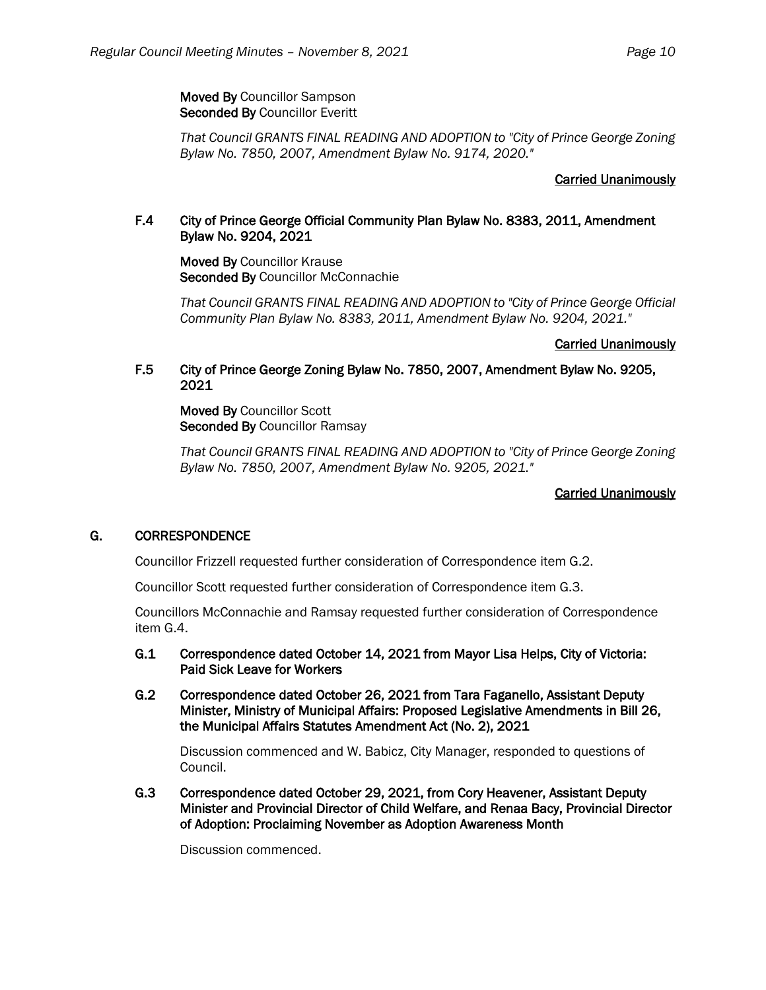Moved By Councillor Sampson Seconded By Councillor Everitt

*That Council GRANTS FINAL READING AND ADOPTION to "City of Prince George Zoning Bylaw No. 7850, 2007, Amendment Bylaw No. 9174, 2020."*

## Carried Unanimously

## F.4 City of Prince George Official Community Plan Bylaw No. 8383, 2011, Amendment Bylaw No. 9204, 2021

Moved By Councillor Krause Seconded By Councillor McConnachie

*That Council GRANTS FINAL READING AND ADOPTION to "City of Prince George Official Community Plan Bylaw No. 8383, 2011, Amendment Bylaw No. 9204, 2021."*

### Carried Unanimously

## F.5 City of Prince George Zoning Bylaw No. 7850, 2007, Amendment Bylaw No. 9205, 2021

Moved By Councillor Scott Seconded By Councillor Ramsay

*That Council GRANTS FINAL READING AND ADOPTION to "City of Prince George Zoning Bylaw No. 7850, 2007, Amendment Bylaw No. 9205, 2021."*

### Carried Unanimously

# G. CORRESPONDENCE

Councillor Frizzell requested further consideration of Correspondence item G.2.

Councillor Scott requested further consideration of Correspondence item G.3.

Councillors McConnachie and Ramsay requested further consideration of Correspondence item G.4.

- G.1 Correspondence dated October 14, 2021 from Mayor Lisa Helps, City of Victoria: Paid Sick Leave for Workers
- G.2 Correspondence dated October 26, 2021 from Tara Faganello, Assistant Deputy Minister, Ministry of Municipal Affairs: Proposed Legislative Amendments in Bill 26, the Municipal Affairs Statutes Amendment Act (No. 2), 2021

 Discussion commenced and W. Babicz, City Manager, responded to questions of Council.

G.3 Correspondence dated October 29, 2021, from Cory Heavener, Assistant Deputy Minister and Provincial Director of Child Welfare, and Renaa Bacy, Provincial Director of Adoption: Proclaiming November as Adoption Awareness Month

Discussion commenced.